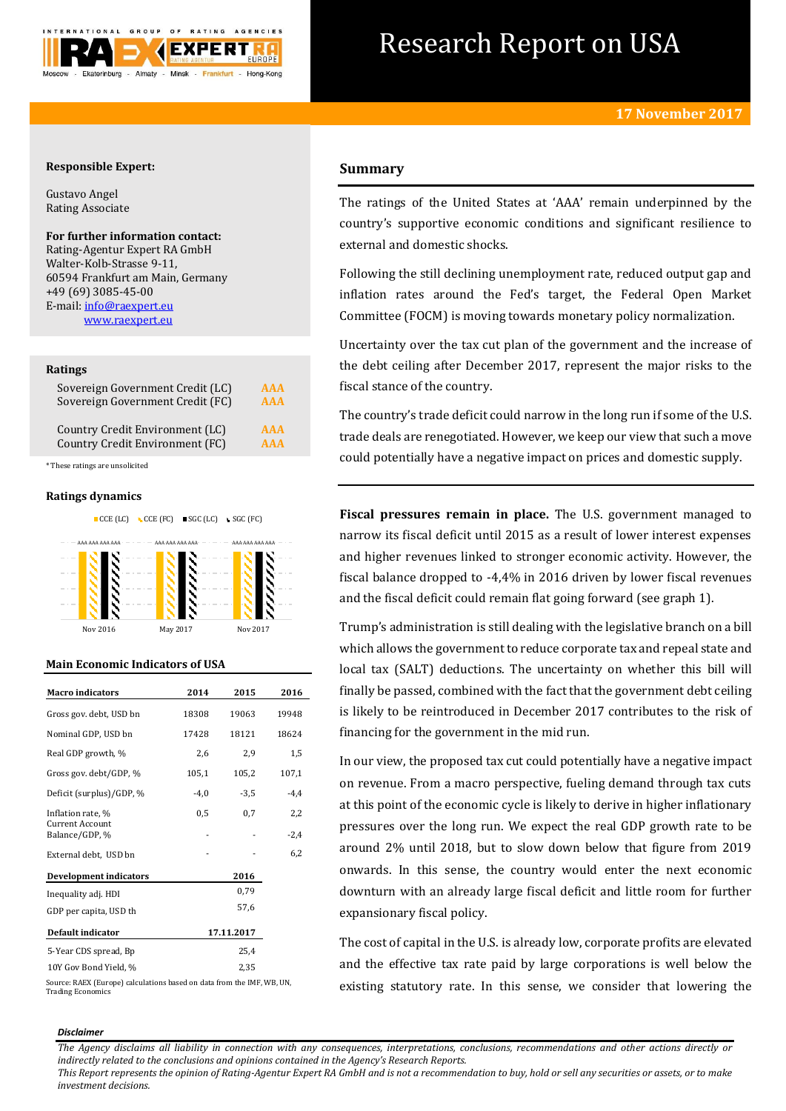

# Research Report on USA

# **Responsible Expert:**

Gustavo Angel Rating Associate

# **For further information contact:**

Rating-Agentur Expert RA GmbH Walter-Kolb-Strasse 9-11, 60594 Frankfurt am Main, Germany +49 (69) 3085-45-00 E-mail[: info@raexpert.eu](mailto:info@raexpert.eu) [www.raexpert.eu](http://raexpert.eu/)

# **Ratings**

| Sovereign Government Credit (LC) | <b>AAA</b> |
|----------------------------------|------------|
| Sovereign Government Credit (FC) | <b>AAA</b> |
| Country Credit Environment (LC)  | <b>AAA</b> |
| Country Credit Environment (FC)  | <b>AAA</b> |

\* These ratings are unsolicited

# **Ratings dynamics**





# **Main Economic Indicators of USA**

| <b>Macro</b> indicators           | 2014   | 2015       | 2016   |
|-----------------------------------|--------|------------|--------|
| Gross gov. debt, USD bn           | 18308  | 19063      | 19948  |
| Nominal GDP, USD bn               | 17428  | 18121      | 18624  |
| Real GDP growth, %                | 2,6    | 2,9        | 1,5    |
| Gross gov. debt/GDP, %            | 105,1  | 105,2      | 107,1  |
| Deficit (surplus)/GDP, %          | $-4,0$ | $-3,5$     | $-4,4$ |
| Inflation rate, %                 | 0,5    | 0,7        | 2,2    |
| Current Account<br>Balance/GDP, % |        |            | $-2,4$ |
| External debt, USD bn             |        |            | 6,2    |
| <b>Development indicators</b>     |        | 2016       |        |
| Inequality adj. HDI               |        | 0.79       |        |
| GDP per capita, USD th            |        | 57,6       |        |
| Default indicator                 |        | 17.11.2017 |        |
| 5-Year CDS spread, Bp             |        | 25,4       |        |
| 10Y Gov Bond Yield, %             |        | 2,35       |        |

Source: RAEX (Europe) calculations based on data from the IMF, WB, UN, Trading Economics

# **Summary**

The ratings of the United States at 'AAA' remain underpinned by the country's supportive economic conditions and significant resilience to external and domestic shocks.

Following the still declining unemployment rate, reduced output gap and inflation rates around the Fed's target, the Federal Open Market Committee (FOCM) is moving towards monetary policy normalization.

Uncertainty over the tax cut plan of the government and the increase of the debt ceiling after December 2017, represent the major risks to the fiscal stance of the country.

The country's trade deficit could narrow in the long run if some of the U.S. trade deals are renegotiated. However, we keep our view that such a move could potentially have a negative impact on prices and domestic supply.

**Fiscal pressures remain in place.** The U.S. government managed to narrow its fiscal deficit until 2015 as a result of lower interest expenses and higher revenues linked to stronger economic activity. However, the fiscal balance dropped to -4,4% in 2016 driven by lower fiscal revenues and the fiscal deficit could remain flat going forward (see graph 1).

Trump's administration is still dealing with the legislative branch on a bill which allows the government to reduce corporate tax and repeal state and local tax (SALT) deductions. The uncertainty on whether this bill will finally be passed, combined with the fact that the government debt ceiling is likely to be reintroduced in December 2017 contributes to the risk of financing for the government in the mid run.

In our view, the proposed tax cut could potentially have a negative impact on revenue. From a macro perspective, fueling demand through tax cuts at this point of the economic cycle is likely to derive in higher inflationary pressures over the long run. We expect the real GDP growth rate to be around 2% until 2018, but to slow down below that figure from 2019 onwards. In this sense, the country would enter the next economic downturn with an already large fiscal deficit and little room for further expansionary fiscal policy.

The cost of capital in the U.S. is already low, corporate profits are elevated and the effective tax rate paid by large corporations is well below the existing statutory rate. In this sense, we consider that lowering the

#### *Disclaimer*

*The Agency disclaims all liability in connection with any consequences, interpretations, conclusions, recommendations and other actions directly or indirectly related to the conclusions and opinions contained in the Agency's Research Reports.*

*This Report represents the opinion of Rating-Agentur Expert RA GmbH and is not a recommendation to buy, hold or sell any securities or assets, or to make investment decisions.*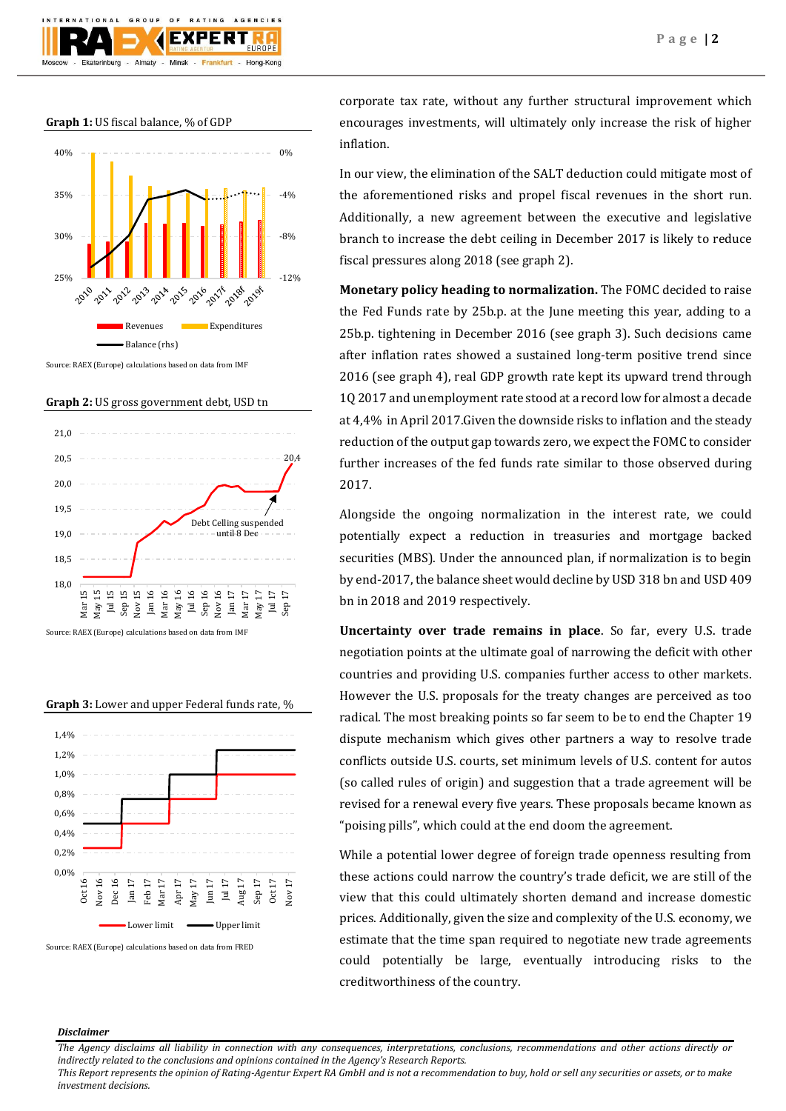**Graph 1:** US fiscal balance, % of GDP



Source: RAEX (Europe) calculations based on data from IMF

**Graph 2:** US gross government debt, USD tn



Source: RAEX (Europe) calculations based on data from IMF



Source: RAEX (Europe) calculations based on data from FRED

corporate tax rate, without any further structural improvement which encourages investments, will ultimately only increase the risk of higher inflation.

In our view, the elimination of the SALT deduction could mitigate most of the aforementioned risks and propel fiscal revenues in the short run. Additionally, a new agreement between the executive and legislative branch to increase the debt ceiling in December 2017 is likely to reduce fiscal pressures along 2018 (see graph 2).

**Monetary policy heading to normalization.** The FOMC decided to raise the Fed Funds rate by 25b.p. at the June meeting this year, adding to a 25b.p. tightening in December 2016 (see graph 3). Such decisions came after inflation rates showed a sustained long-term positive trend since 2016 (see graph 4), real GDP growth rate kept its upward trend through 1Q 2017 and unemployment rate stood at a record low for almost a decade at 4,4% in April 2017.Given the downside risks to inflation and the steady reduction of the output gap towards zero, we expect the FOMC to consider further increases of the fed funds rate similar to those observed during 2017.

Alongside the ongoing normalization in the interest rate, we could potentially expect a reduction in treasuries and mortgage backed securities (MBS). Under the announced plan, if normalization is to begin by end-2017, the balance sheet would decline by USD 318 bn and USD 409 bn in 2018 and 2019 respectively.

**Uncertainty over trade remains in place**. So far, every U.S. trade negotiation points at the ultimate goal of narrowing the deficit with other countries and providing U.S. companies further access to other markets. However the U.S. proposals for the treaty changes are perceived as too radical. The most breaking points so far seem to be to end the Chapter 19 dispute mechanism which gives other partners a way to resolve trade conflicts outside U.S. courts, set minimum levels of U.S. content for autos (so called rules of origin) and suggestion that a trade agreement will be revised for a renewal every five years. These proposals became known as "poising pills", which could at the end doom the agreement.

While a potential lower degree of foreign trade openness resulting from these actions could narrow the country's trade deficit, we are still of the view that this could ultimately shorten demand and increase domestic prices. Additionally, given the size and complexity of the U.S. economy, we estimate that the time span required to negotiate new trade agreements could potentially be large, eventually introducing risks to the creditworthiness of the country.

## *Disclaimer*

*The Agency disclaims all liability in connection with any consequences, interpretations, conclusions, recommendations and other actions directly or indirectly related to the conclusions and opinions contained in the Agency's Research Reports.*

*This Report represents the opinion of Rating-Agentur Expert RA GmbH and is not a recommendation to buy, hold or sell any securities or assets, or to make investment decisions.*